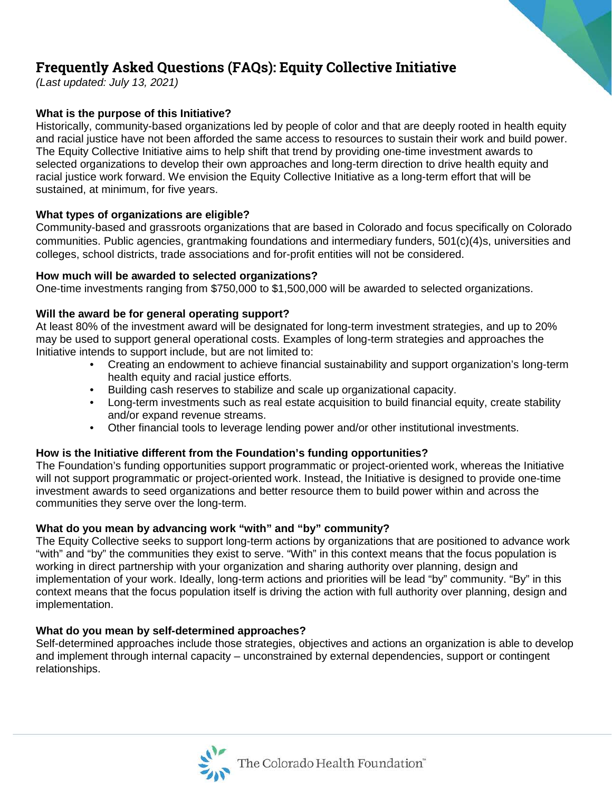# **Frequently Asked Questions (FAQs): Equity Collective Initiative**

*(Last updated: July 13, 2021)*

# **What is the purpose of this Initiative?**

Historically, community-based organizations led by people of color and that are deeply rooted in health equity and racial justice have not been afforded the same access to resources to sustain their work and build power. The Equity Collective Initiative aims to help shift that trend by providing one-time investment awards to selected organizations to develop their own approaches and long-term direction to drive health equity and racial justice work forward. We envision the Equity Collective Initiative as a long-term effort that will be sustained, at minimum, for five years.

# **What types of organizations are eligible?**

Community-based and grassroots organizations that are based in Colorado and focus specifically on Colorado communities. Public agencies, grantmaking foundations and intermediary funders, 501(c)(4)s, universities and colleges, school districts, trade associations and for-profit entities will not be considered.

## **How much will be awarded to selected organizations?**

One-time investments ranging from \$750,000 to \$1,500,000 will be awarded to selected organizations.

## **Will the award be for general operating support?**

At least 80% of the investment award will be designated for long-term investment strategies, and up to 20% may be used to support general operational costs. Examples of long-term strategies and approaches the Initiative intends to support include, but are not limited to:

- Creating an endowment to achieve financial sustainability and support organization's long-term health equity and racial justice efforts.
- Building cash reserves to stabilize and scale up organizational capacity.
- Long-term investments such as real estate acquisition to build financial equity, create stability and/or expand revenue streams.
- Other financial tools to leverage lending power and/or other institutional investments.

# **How is the Initiative different from the Foundation's funding opportunities?**

The Foundation's funding opportunities support programmatic or project-oriented work, whereas the Initiative will not support programmatic or project-oriented work. Instead, the Initiative is designed to provide one-time investment awards to seed organizations and better resource them to build power within and across the communities they serve over the long-term.

# **What do you mean by advancing work "with" and "by" community?**

The Equity Collective seeks to support long-term actions by organizations that are positioned to advance work "with" and "by" the communities they exist to serve. "With" in this context means that the focus population is working in direct partnership with your organization and sharing authority over planning, design and implementation of your work. Ideally, long-term actions and priorities will be lead "by" community. "By" in this context means that the focus population itself is driving the action with full authority over planning, design and implementation.

#### **What do you mean by self-determined approaches?**

Self-determined approaches include those strategies, objectives and actions an organization is able to develop and implement through internal capacity – unconstrained by external dependencies, support or contingent relationships.